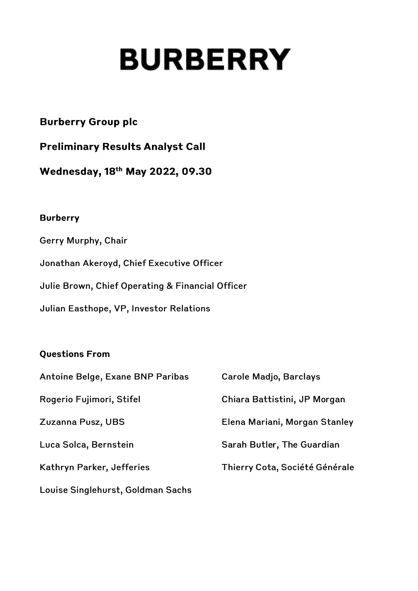# **BURBERRY**

# **Burberry Group plc**

**Preliminary Results Analyst Call** 

Wednesday, 18th May 2022, 09.30

## **Burberry**

Gerry Murphy, Chair Jonathan Akeroyd, Chief Executive Officer Julie Brown, Chief Operating & Financial Officer Julian Easthope, VP, Investor Relations

# **Questions From**

| Antoine Belge, Exane BNP Paribas  | <b>Carole Madjo, Barclays</b>  |
|-----------------------------------|--------------------------------|
| Rogerio Fujimori, Stifel          | Chiara Battistini, JP Morgan   |
| Zuzanna Pusz, UBS                 | Elena Mariani, Morgan Stanley  |
| Luca Solca, Bernstein             | Sarah Butler, The Guardian     |
| Kathryn Parker, Jefferies         | Thierry Cota, Société Générale |
| Louise Singlehurst, Goldman Sachs |                                |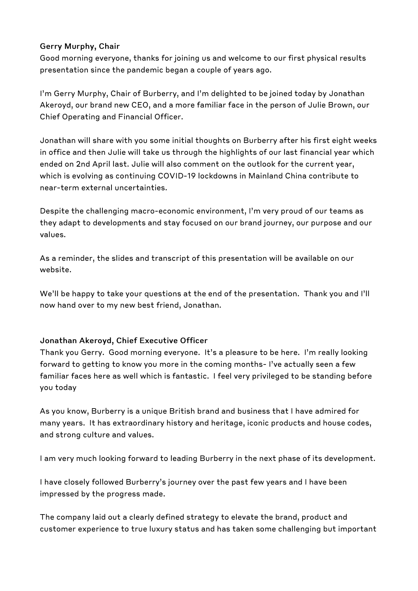#### **Gerry Murphy, Chair**

Good morning everyone, thanks for joining us and welcome to our first physical results presentation since the pandemic began a couple of years ago.

I'm Gerry Murphy, Chair of Burberry, and I'm delighted to be joined today by Jonathan Akeroyd, our brand new CEO, and a more familiar face in the person of Julie Brown, our Chief Operating and Financial Officer.

Jonathan will share with you some initial thoughts on Burberry after his first eight weeks in office and then Julie will take us through the highlights of our last financial year which ended on 2nd April last. Julie will also comment on the outlook for the current year, which is evolving as continuing COVID-19 lockdowns in Mainland China contribute to near-term external uncertainties.

Despite the challenging macro-economic environment, I'm very proud of our teams as they adapt to developments and stay focused on our brand journey, our purpose and our values.

As a reminder, the slides and transcript of this presentation will be available on our website.

We'll be happy to take your questions at the end of the presentation. Thank you and I'll now hand over to my new best friend, Jonathan.

#### **Jonathan Akeroyd, Chief Executive Officer**

Thank you Gerry. Good morning everyone. It's a pleasure to be here. I'm really looking forward to getting to know you more in the coming months- I've actually seen a few familiar faces here as well which is fantastic. I feel very privileged to be standing before you today

As you know, Burberry is a unique British brand and business that I have admired for many years. It has extraordinary history and heritage, iconic products and house codes, and strong culture and values.

I am very much looking forward to leading Burberry in the next phase of its development.

I have closely followed Burberry's journey over the past few years and I have been impressed by the progress made.

The company laid out a clearly defined strategy to elevate the brand, product and customer experience to true luxury status and has taken some challenging but important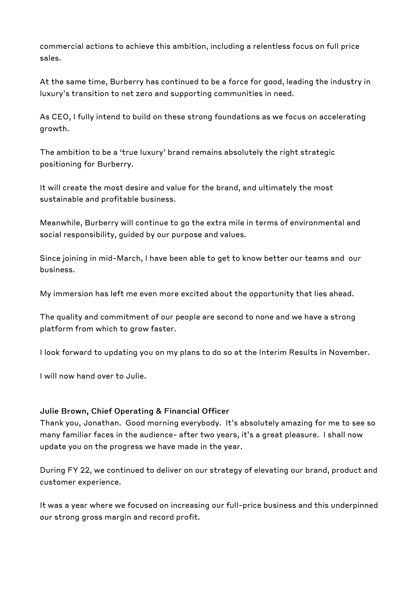commercial actions to achieve this ambition, including a relentless focus on full price sales.

At the same time, Burberry has continued to be a force for good, leading the industry in luxury's transition to net zero and supporting communities in need.

As CEO, I fully intend to build on these strong foundations as we focus on accelerating growth.

The ambition to be a 'true luxury' brand remains absolutely the right strategic positioning for Burberry.

It will create the most desire and value for the brand, and ultimately the most sustainable and profitable business.

Meanwhile, Burberry will continue to go the extra mile in terms of environmental and social responsibility, guided by our purpose and values.

Since joining in mid-March, I have been able to get to know better our teams and our business.

My immersion has left me even more excited about the opportunity that lies ahead.

The quality and commitment of our people are second to none and we have a strong platform from which to grow faster.

I look forward to updating you on my plans to do so at the Interim Results in November.

I will now hand over to Julie.

#### **Julie Brown, Chief Operating & Financial Officer**

Thank you, Jonathan. Good morning everybody. It's absolutely amazing for me to see so many familiar faces in the audience- after two years, it's a great pleasure. I shall now update you on the progress we have made in the year.

During FY 22, we continued to deliver on our strategy of elevating our brand, product and customer experience.

It was a year where we focused on increasing our full-price business and this underpinned our strong gross margin and record profit.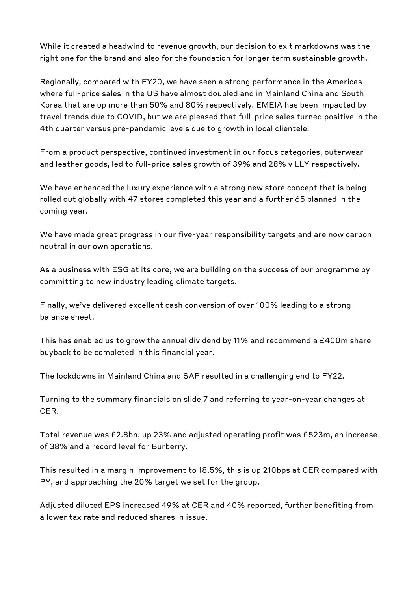While it created a headwind to revenue growth, our decision to exit markdowns was the right one for the brand and also for the foundation for longer term sustainable growth.

Regionally, compared with FY20, we have seen a strong performance in the Americas where full-price sales in the US have almost doubled and in Mainland China and South Korea that are up more than 50% and 80% respectively. EMEIA has been impacted by travel trends due to COVID, but we are pleased that full-price sales turned positive in the 4th quarter versus pre-pandemic levels due to growth in local clientele.

From a product perspective, continued investment in our focus categories, outerwear and leather goods, led to full-price sales growth of 39% and 28% v LLY respectively.

We have enhanced the luxury experience with a strong new store concept that is being rolled out globally with 47 stores completed this year and a further 65 planned in the coming year.

We have made great progress in our five-year responsibility targets and are now carbon neutral in our own operations.

As a business with ESG at its core, we are building on the success of our programme by committing to new industry leading climate targets.

Finally, we've delivered excellent cash conversion of over 100% leading to a strong balance sheet.

This has enabled us to grow the annual dividend by 11% and recommend a £400m share buyback to be completed in this financial year.

The lockdowns in Mainland China and SAP resulted in a challenging end to FY22.

Turning to the summary financials on slide 7 and referring to year-on-year changes at CER.

Total revenue was £2.Sbn, up 23% and adjusted operating profit was £523m, an increase of 38% and a record level for Burberry.

This resulted in a margin improvement to 18.5%, this is up 210bps at CER compared with PY, and approaching the 20% target we set for the group.

Adjusted diluted EPS increased 49% at CER and 40% reported, further benefiting from a lower tax rate and reduced shares in issue.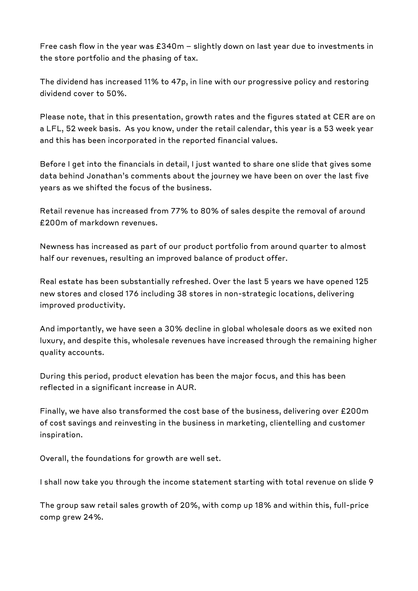Free cash flow in the year was £340m - slightly down on last year due to investments in the store portfolio and the phasing of tax.

The dividend has increased 11% to 47p, in line with our progressive policy and restoring dividend cover to 50%.

Please note, that in this presentation, growth rates and the figures stated at CER are on a LFL, 52 week basis. As you know, under the retail calendar, this year is a 53 week year and this has been incorporated in the reported financial values.

Before I get into the financials in detail, I just wanted to share one slide that gives some data behind Jonathan's comments about the journey we have been on over the last five years as we shifted the focus of the business.

Retail revenue has increased from 77% to 80% of sales despite the removal of around £200m of markdown revenues.

Newness has increased as part of our product portfolio from around quarter to almost half our revenues, resulting an improved balance of product offer.

Real estate has been substantially refreshed. Over the last 5 years we have opened 125 new stores and closed 176 including 38 stores in non-strategic locations, delivering improved productivity.

And importantly, we have seen a 30% decline in global wholesale doors as we exited non luxury, and despite this, wholesale revenues have increased through the remaining higher quality accounts.

During this period, product elevation has been the major focus, and this has been reflected in a significant increase in AUR.

Finally, we have also transformed the cost base of the business, delivering over £200m of cost savings and reinvesting in the business in marketing, clientelling and customer inspiration.

Overall, the foundations for growth are well set.

I shall now take you through the income statement starting with total revenue on slide 9

The group saw retail sales growth of 20%, with comp up 18% and within this, full-price comp grew 24%.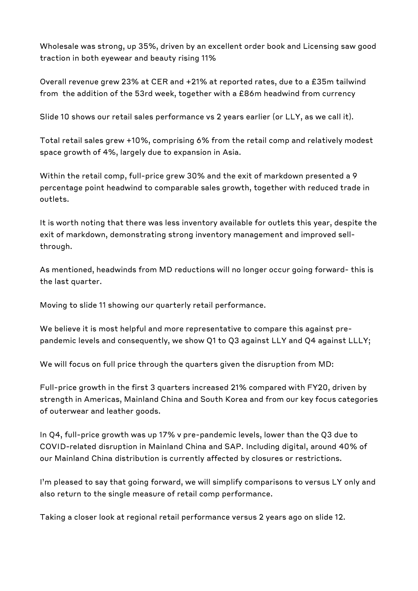Wholesale was strong, up 35%, driven by an excellent order book and Licensing saw good traction in both eyewear and beauty rising 11%

Overall revenue grew 23% at CER and +21% at reported rates, due to a £35m tailwind from the addition of the 53rd week, together with a £86m headwind from currency

Slide 10 shows our retail sales performance vs 2 years earlier (or LLY, as we call it).

Total retail sales grew +10%, comprising 6% from the retail comp and relatively modest space growth of 4%, largely due to expansion in Asia.

Within the retail comp, full-price grew 30% and the exit of markdown presented a 9 percentage point headwind to comparable sales growth, together with reduced trade in outlets.

It is worth noting that there was less inventory available for outlets this year, despite the exit of markdown, demonstrating strong inventory management and improved sellthrough.

As mentioned, headwinds from MD reductions will no longer occur going forward- this is the last quarter.

Moving to slide 11 showing our quarterly retail performance.

We believe it is most helpful and more representative to compare this against prepandemic levels and consequently, we show Q1 to Q3 against LLY and Q4 against LLLY;

We will focus on full price through the quarters given the disruption from MD:

Full-price growth in the first 3 quarters increased 21% compared with FY20, driven by strength in Americas, Mainland China and South Korea and from our key focus categories of outerwear and leather goods.

In Q4, full-price growth was up 17% v pre-pandemic levels, lower than the Q3 due to COVI D-related disruption in Mainland China and SAP. Including digital, around 40% of our Mainland China distribution is currently affected by closures or restrictions.

I'm pleased to say that going forward, we will simplify comparisons to versus LY only and also return to the single measure of retail comp performance.

Taking a closer look at regional retail performance versus 2 years ago on slide 12.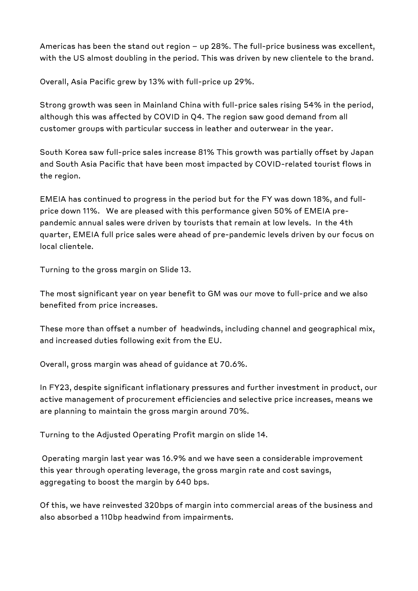Americas has been the stand out region  $-$  up 28%. The full-price business was excellent, with the US almost doubling in the period. This was driven by new clientele to the brand.

Overall, Asia Pacific grew by 13% with full-price up 29%.

Strong growth was seen in Mainland China with full-price sales rising 54% in the period, although this was affected by COVID in Q4. The region saw good demand from all customer groups with particular success in leather and outerwear in the year.

South Korea saw full-price sales increase 81% This growth was partially offset by Japan and South Asia Pacific that have been most impacted by COVID-related tourist flows in the region.

EMEIA has continued to progress in the period but for the FY was down 18%, and fullprice down 11%. We are pleased with this performance given 50% of EMEIA prepandemic annual sales were driven by tourists that remain at low levels. In the 4th quarter, EM EIA full price sales were ahead of pre-pandemic levels driven by our focus on local clientele.

Turning to the gross margin on Slide 13.

The most significant year on year benefit to GM was our move to full-price and we also benefited from price increases.

These more than offset a number of headwinds, including channel and geographical mix, and increased duties following exit from the EU.

Overall, gross margin was ahead of guidance at 70.6%.

In FY23, despite significant inflationary pressures and further investment in product, our active management of procurement efficiencies and selective price increases, means we are planning to maintain the gross margin around 70%.

Turning to the Adjusted Operating Profit margin on slide 14.

Operating margin last year was 16.9% and we have seen a considerable improvement this year through operating leverage, the gross margin rate and cost savings, aggregating to boost the margin by 640 bps.

Of this, we have reinvested 320bps of margin into commercial areas of the business and also absorbed a 110bp headwind from impairments.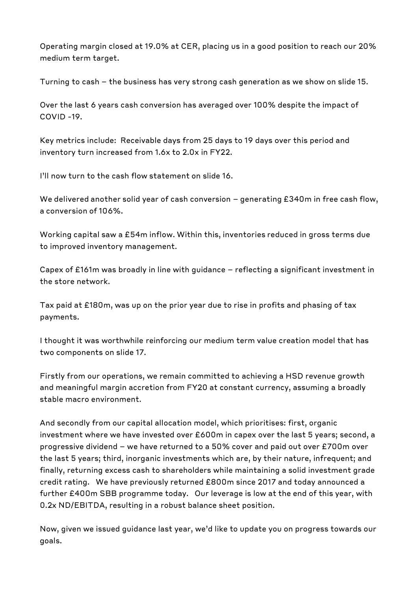Operating margin closed at 19.0% at CER, placing us in a good position to reach our 20% medium term target.

Turning to cash - the business has very strong cash generation as we show on slide 15.

Over the last 6 years cash conversion has averaged over 100% despite the impact of COVID -19.

Key metrics include: Receivable days from 25 days to 19 days over this period and inventory turn increased from 1.6x to 2.0x in FY22.

I'll now turn to the cash flow statement on slide 16.

We delivered another solid year of cash conversion - generating £340m in free cash flow, a conversion of 106%.

Working capital saw a £54m inflow. Within this, inventories reduced in gross terms due to improved inventory management.

Capex of £161m was broadly in line with guidance - reflecting a significant investment in the store network.

Tax paid at £180m, was up on the prior year due to rise in profits and phasing of tax payments.

I thought it was worthwhile reinforcing our medium term value creation model that has two components on slide 17.

Firstly from our operations, we remain committed to achieving a HSD revenue growth and meaningful margin accretion from FY20 at constant currency, assuming a broadly stable macro environment.

And secondly from our capital allocation model, which prioritises: first, organic investment where we have invested over £600m in capex over the last 5 years; second, a progressive dividend - we have returned to a 50% cover and paid out over £700m over the last 5 years; third, inorganic investments which are, by their nature, infrequent; and finally, returning excess cash to shareholders while maintaining a solid investment grade credit rating. We have previously returned £800m since 2017 and today announced a further £400m SBB programme today. Our leverage is low at the end of this year, with 0.2x ND/EBITDA, resulting in a robust balance sheet position.

Now, given we issued guidance last year, we'd like to update you on progress towards our goals.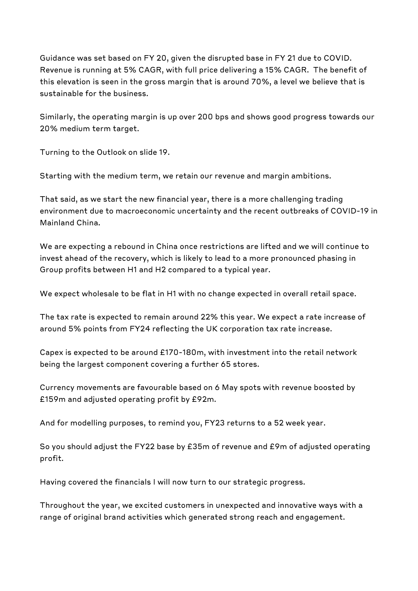Guidance was set based on FY 20, given the disrupted base in FY 21 due to COVID. Revenue is running at 5% CAGR, with full price delivering a 15% CAGR. The benefit of this elevation is seen in the gross margin that is around 70%, a level we believe that is sustainable for the business.

Similarly, the operating margin is up over 200 bps and shows good progress towards our 20% medium term target.

Turning to the Outlook on slide 19.

Starting with the medium term, we retain our revenue and margin ambitions.

That said, as we start the new financial year, there is a more challenging trading environment due to macroeconomic uncertainty and the recent outbreaks of COVID-19 in Mainland China.

We are expecting a rebound in China once restrictions are lifted and we will continue to invest ahead of the recovery, which is likely to lead to a more pronounced phasing in Group profits between H1 and H2 compared to a typical year.

We expect wholesale to be flat in H1 with no change expected in overall retail space.

The tax rate is expected to remain around 22% this year. We expect a rate increase of around 5% points from FY24 reflecting the UK corporation tax rate increase.

Capex is expected to be around £170-180m, with investment into the retail network being the largest component covering a further 65 stores.

Currency movements are favourable based on 6 May spots with revenue boosted by £159m and adjusted operating profit by £92m.

And for modelling purposes, to remind you, FY23 returns to a 52 week year.

So you should adjust the FY22 base by £35m of revenue and £9m of adjusted operating profit.

Having covered the financials I will now turn to our strategic progress.

Throughout the year, we excited customers in unexpected and innovative ways with a range of original brand activities which generated strong reach and engagement.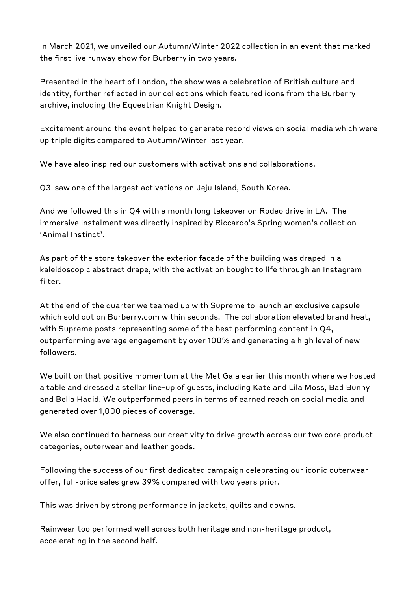In March 2021, we unveiled our Autumn/Winter 2022 collection in an event that marked the first live runway show for Burberry in two years.

Presented in the heart of London, the show was a celebration of British culture and identity, further reflected in our collections which featured icons from the Burberry archive, including the Equestrian Knight Design.

Excitement around the event helped to generate record views on social media which were up triple digits compared to Autumn/Winter last year.

We have also inspired our customers with activations and collaborations.

Q3 saw one of the largest activations on Jeju Island, South Korea.

And we followed this in Q4 with a month long takeover on Rodeo drive in LA. The immersive instalment was directly inspired by Riccardo's Spring women's collection 'Animal Instinct'.

As part of the store takeover the exterior facade of the building was draped in a kaleidoscopic abstract drape, with the activation bought to life through an lnstagram filter.

At the end of the quarter we teamed up with Supreme to launch an exclusive capsule which sold out on Burberry.com within seconds. The collaboration elevated brand heat, with Supreme posts representing some of the best performing content in Q4, outperforming average engagement by over 100% and generating a high level of new followers.

We built on that positive momentum at the Met Gala earlier this month where we hosted a table and dressed a stellar line-up of guests, including Kate and Lila Moss, Bad Bunny and Bella Hadid. We outperformed peers in terms of earned reach on social media and generated over 1,000 pieces of coverage.

We also continued to harness our creativity to drive growth across our two core product categories, outerwear and leather goods.

Following the success of our first dedicated campaign celebrating our iconic outerwear offer, full-price sales grew 39% compared with two years prior.

This was driven by strong performance in jackets, quilts and downs.

Rainwear too performed well across both heritage and non-heritage product, accelerating in the second half.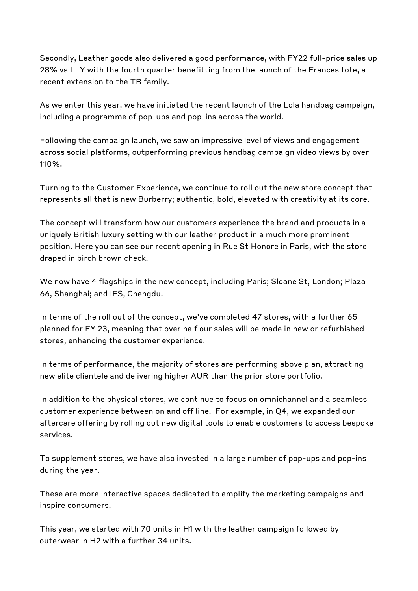Secondly, Leather goods also delivered a good performance, with FY22 full-price sales up 28% vs LLY with the fourth quarter benefitting from the launch of the Frances tote, a recent extension to the TB family.

As we enter this year, we have initiated the recent launch of the Lola handbag campaign, including a programme of pop-ups and pop-ins across the world.

Following the campaign launch, we saw an impressive level of views and engagement across social platforms, outperforming previous handbag campaign video views by over 110%.

Turning to the Customer Experience, we continue to roll out the new store concept that represents all that is new Burberry; authentic, bold, elevated with creativity at its core.

The concept will transform how our customers experience the brand and products in a uniquely British luxury setting with our leather product in a much more prominent position. Here you can see our recent opening in Rue St Honore in Paris, with the store draped in birch brown check.

We now have 4 flagships in the new concept, including Paris; Sloane St, London; Plaza 66, Shanghai; and IFS, Chengdu.

In terms of the roll out of the concept, we've completed 47 stores, with a further 65 planned for FY 23, meaning that over half our sales will be made in new or refurbished stores, enhancing the customer experience.

In terms of performance, the majority of stores are performing above plan, attracting new elite clientele and delivering higher AUR than the prior store portfolio.

In addition to the physical stores, we continue to focus on omnichannel and a seamless customer experience between on and off line. For example, in Q4, we expanded our aftercare offering by rolling out new digital tools to enable customers to access bespoke services.

To supplement stores, we have also invested in a large number of pop-ups and pop-ins during the year.

These are more interactive spaces dedicated to amplify the marketing campaigns and inspire consumers.

This year, we started with 70 units in H1 with the leather campaign followed by outerwear in H2 with a further 34 units.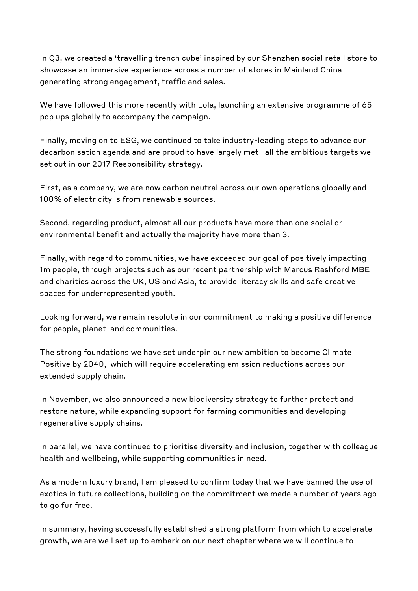In Q3, we created a 'travelling trench cube' inspired by our Shenzhen social retail store to showcase an immersive experience across a number of stores in Mainland China generating strong engagement, traffic and sales.

We have followed this more recently with Lola, launching an extensive programme of 65 pop ups globally to accompany the campaign.

Finally, moving on to ESG, we continued to take industry-leading steps to advance our decarbonisation agenda and are proud to have largely met all the ambitious targets we set out in our 2017 Responsibility strategy.

First, as a company, we are now carbon neutral across our own operations globally and 100% of electricity is from renewable sources.

Second, regarding product, almost all our products have more than one social or environmental benefit and actually the majority have more than 3.

Finally, with regard to communities, we have exceeded our goal of positively impacting 1m people, through projects such as our recent partnership with Marcus Rashford MBE and charities across the UK, US and Asia, to provide literacy skills and safe creative spaces for underrepresented youth.

Looking forward, we remain resolute in our commitment to making a positive difference for people, planet and communities.

The strong foundations we have set underpin our new ambition to become Climate Positive by 2040, which will require accelerating emission reductions across our extended supply chain.

In November, we also announced a new biodiversity strategy to further protect and restore nature, while expanding support for farming communities and developing regenerative supply chains.

In parallel, we have continued to prioritise diversity and inclusion, together with colleague health and wellbeing, while supporting communities in need.

As a modern luxury brand, I am pleased to confirm today that we have banned the use of exotics in future collections, building on the commitment we made a number of years ago to go fur free.

In summary, having successfully established a strong platform from which to accelerate growth, we are well set up to embark on our next chapter where we will continue to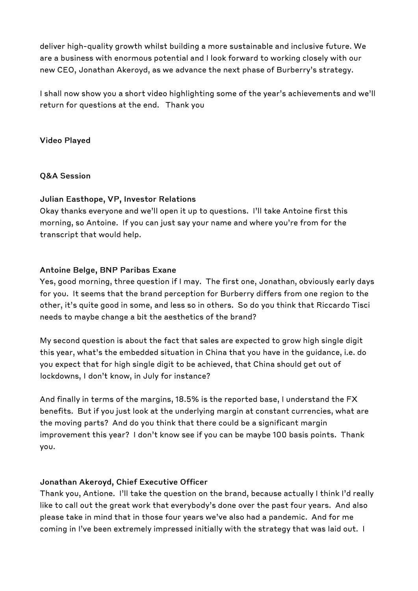deliver high-quality growth whilst building a more sustainable and inclusive future. We are a business with enormous potential and I look forward to working closely with our new CEO, Jonathan Akeroyd, as we advance the next phase of Burberry's strategy.

I shall now show you a short video highlighting some of the year's achievements and we'll return for questions at the end. Thank you

**Video Played** 

**Q&A Session** 

#### **Julian Easthope, VP, Investor Relations**

Okay thanks everyone and we'll open it up to questions. I'll take Antoine first this morning, so Antoine. If you can just say your name and where you're from for the transcript that would help.

#### **Antoine Beige, BNP Paribas Exane**

Yes, good morning, three question if I may. The first one, Jonathan, obviously early days for you. It seems that the brand perception for Burberry differs from one region to the other, it's quite good in some, and less so in others. So do you think that Riccardo Tisci needs to maybe change a bit the aesthetics of the brand?

My second question is about the fact that sales are expected to grow high single digit this year, what's the embedded situation in China that you have in the guidance, i.e. do you expect that for high single digit to be achieved, that China should get out of lockdowns, I don't know, in July for instance?

And finally in terms of the margins, 18.5% is the reported base, I understand the FX benefits. But if you just look at the underlying margin at constant currencies, what are the moving parts? And do you think that there could be a significant margin improvement this year? I don't know see if you can be maybe 100 basis points. Thank you.

#### **Jonathan Akeroyd, Chief Executive Officer**

Thank you, Antione. I'll take the question on the brand, because actually I think I'd really like to call out the great work that everybody's done over the past four years. And also please take in mind that in those four years we've also had a pandemic. And for me coming in I've been extremely impressed initially with the strategy that was laid out. I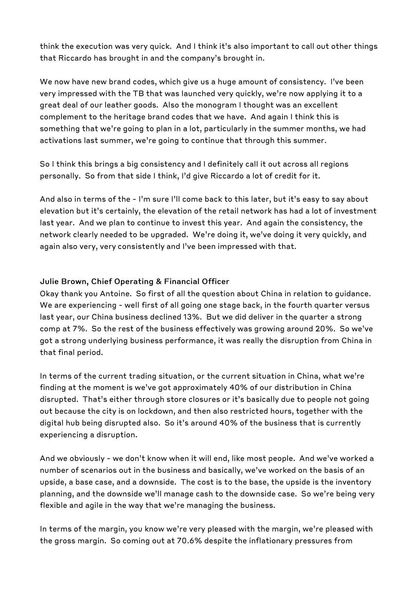think the execution was very quick. And I think it's also important to call out other things that Riccardo has brought in and the company's brought in.

We now have new brand codes, which give us a huge amount of consistency. I've been very impressed with the TB that was launched very quickly, we're now applying it to a great deal of our leather goods. Also the monogram I thought was an excellent complement to the heritage brand codes that we have. And again I think this is something that we're going to plan in a lot, particularly in the summer months, we had activations last summer, we're going to continue that through this summer.

So I think this brings a big consistency and I definitely call it out across all regions personally. So from that side I think, I'd give Riccardo a lot of credit for it.

And also in terms of the - I'm sure I'll come back to this later, but it's easy to say about elevation but it's certainly, the elevation of the retail network has had a lot of investment last year. And we plan to continue to invest this year. And again the consistency, the network clearly needed to be upgraded. We're doing it, we've doing it very quickly, and again also very, very consistently and I've been impressed with that.

#### **Julie Brown, Chief Operating & Financial Officer**

Okay thank you Antoine. So first of all the question about China in relation to guidance. We are experiencing - well first of all going one stage back, in the fourth quarter versus last year, our China business declined 13%. But we did deliver in the quarter a strong comp at 7%. So the rest of the business effectively was growing around 20%. So we've got a strong underlying business performance, it was really the disruption from China in that final period.

In terms of the current trading situation, or the current situation in China, what we're finding at the moment is we've got approximately 40% of our distribution in China disrupted. That's either through store closures or it's basically due to people not going out because the city is on lockdown, and then also restricted hours, together with the digital hub being disrupted also. So it's around 40% of the business that is currently experiencing a disruption.

And we obviously - we don't know when it will end, like most people. And we've worked a number of scenarios out in the business and basically, we've worked on the basis of an upside, a base case, and a downside. The cost is to the base, the upside is the inventory planning, and the downside we'll manage cash to the downside case. So we're being very flexible and agile in the way that we're managing the business.

In terms of the margin, you know we're very pleased with the margin, we're pleased with the gross margin. So coming out at 70.6% despite the inflationary pressures from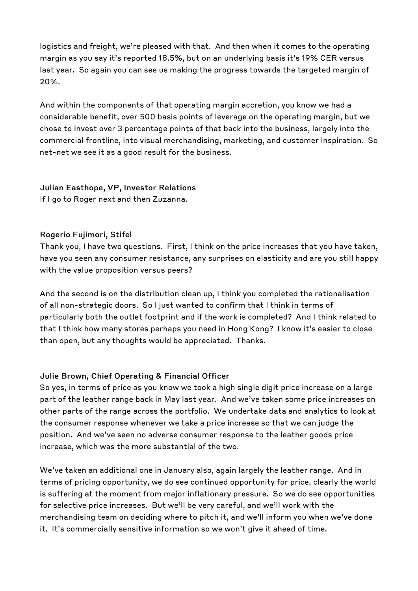logistics and freight, we're pleased with that. And then when it comes to the operating margin as you say it's reported 18.5%, but on an underlying basis it's 19% CER versus last year. So again you can see us making the progress towards the targeted margin of 20%.

And within the components of that operating margin accretion, you know we had a considerable benefit, over 500 basis points of leverage on the operating margin, but we chose to invest over 3 percentage points of that back into the business, largely into the commercial frontline, into visual merchandising, marketing, and customer inspiration. So net-net we see it as a good result for the business.

#### **Julian Easthope, VP, Investor Relations**

If I go to Roger next and then Zuzanna.

#### **Rogerio Fujimori, Stifel**

Thank you, I have two questions. First, I think on the price increases that you have taken, have you seen any consumer resistance, any surprises on elasticity and are you still happy with the value proposition versus peers?

And the second is on the distribution clean up, I think you completed the rationalisation of all non-strategic doors. So I just wanted to confirm that I think in terms of particularly both the outlet footprint and if the work is completed? And I think related to that I think how many stores perhaps you need in Hong Kong? I know it's easier to close than open, but any thoughts would be appreciated. Thanks.

#### **Julie Brown, Chief Operating & Financial Officer**

So yes, in terms of price as you know we took a high single digit price increase on a large part of the leather range back in May last year. And we've taken some price increases on other parts of the range across the portfolio. We undertake data and analytics to look at the consumer response whenever we take a price increase so that we can judge the position. And we've seen no adverse consumer response to the leather goods price increase, which was the more substantial of the two.

We've taken an additional one in January also, again largely the leather range. And in terms of pricing opportunity, we do see continued opportunity for price, clearly the world is suffering at the moment from major inflationary pressure. So we do see opportunities for selective price increases. But we'll be very careful, and we'll work with the merchandising team on deciding where to pitch it, and we'll inform you when we've done it. It's commercially sensitive information so we won't give it ahead of time.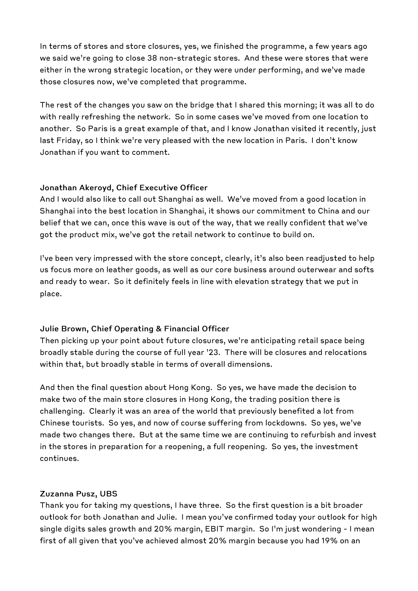In terms of stores and store closures, yes, we finished the programme, a few years ago we said we're going to close 38 non-strategic stores. And these were stores that were either in the wrong strategic location, or they were under performing, and we've made those closures now, we've completed that programme.

The rest of the changes you saw on the bridge that I shared this morning; it was all to do with really refreshing the network. So in some cases we've moved from one location to another. So Paris is a great example of that, and I know Jonathan visited it recently, just last Friday, so I think we're very pleased with the new location in Paris. I don't know Jonathan if you want to comment.

#### **Jonathan Akeroyd, Chief Executive Officer**

And I would also like to call out Shanghai as well. We've moved from a good location in Shanghai into the best location in Shanghai, it shows our commitment to China and our belief that we can, once this wave is out of the way, that we really confident that we've got the product mix, we've got the retail network to continue to build on.

I've been very impressed with the store concept, clearly, it's also been readjusted to help us focus more on leather goods, as well as our core business around outerwear and softs and ready to wear. So it definitely feels in line with elevation strategy that we put in place.

#### **Julie Brown, Chief Operating & Financial Officer**

Then picking up your point about future closures, we're anticipating retail space being broadly stable during the course of full year '23. There will be closures and relocations within that, but broadly stable in terms of overall dimensions.

And then the final question about Hong Kong. So yes, we have made the decision to make two of the main store closures in Hong Kong, the trading position there is challenging. Clearly it was an area of the world that previously benefited a lot from Chinese tourists. So yes, and now of course suffering from lockdowns. So yes, we've made two changes there. But at the same time we are continuing to refurbish and invest in the stores in preparation for a reopening, a full reopening. So yes, the investment continues.

#### **Zuzanna Pusz, UBS**

Thank you for taking my questions, I have three. So the first question is a bit broader outlook for both Jonathan and Julie. I mean you've confirmed today your outlook for high single digits sales growth and 20% margin, EBIT margin. So I'm just wondering - I mean first of all given that you've achieved almost 20% margin because you had 19% on an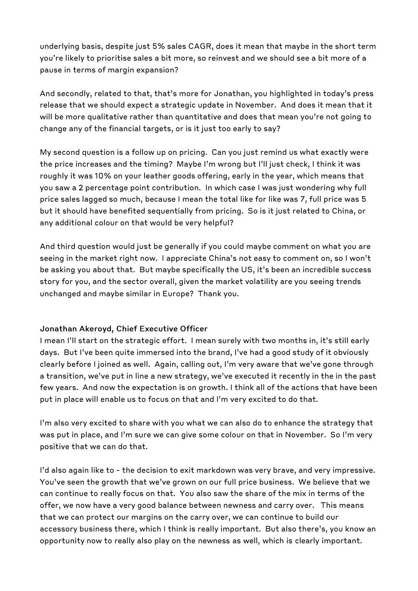underlying basis, despite just 5% sales CAGR, does it mean that maybe in the short term you're likely to prioritise sales a bit more, so reinvest and we should see a bit more of a pause in terms of margin expansion?

And secondly, related to that, that's more for Jonathan, you highlighted in today's press release that we should expect a strategic update in November. And does it mean that it will be more qualitative rather than quantitative and does that mean you're not going to change any of the financial targets, or is it just too early to say?

My second question is a follow up on pricing. Can you just remind us what exactly were the price increases and the timing? Maybe I'm wrong but I'll just check, I think it was roughly it was 10% on your leather goods offering, early in the year, which means that you saw a 2 percentage point contribution. In which case I was just wondering why full price sales lagged so much, because I mean the total like for like was 7, full price was 5 but it should have benefited sequentially from pricing. So is it just related to China, or any additional colour on that would be very helpful?

And third question would just be generally if you could maybe comment on what you are seeing in the market right now. I appreciate China's not easy to comment on, so I won't be asking you about that. But maybe specifically the US, it's been an incredible success story for you, and the sector overall, given the market volatility are you seeing trends unchanged and maybe similar in Europe? Thank you.

#### **Jonathan Akeroyd, Chief Executive Officer**

I mean I'll start on the strategic effort. I mean surely with two months in, it's still early days. But I've been quite immersed into the brand, I've had a good study of it obviously clearly before I joined as well. Again, calling out, I'm very aware that we've gone through a transition, we've put in line a new strategy, we've executed it recently in the in the past few years. And now the expectation is on growth. I think all of the actions that have been put in place will enable us to focus on that and I'm very excited to do that.

I'm also very excited to share with you what we can also do to enhance the strategy that was put in place, and I'm sure we can give some colour on that in November. So I'm very positive that we can do that.

I'd also again like to - the decision to exit markdown was very brave, and very impressive. You've seen the growth that we've grown on our full price business. We believe that we can continue to really focus on that. You also saw the share of the mix in terms of the offer, we now have a very good balance between newness and carry over. This means that we can protect our margins on the carry over, we can continue to build our accessory business there, which I think is really important. But also there's, you know an opportunity now to really also play on the newness as well, which is clearly important.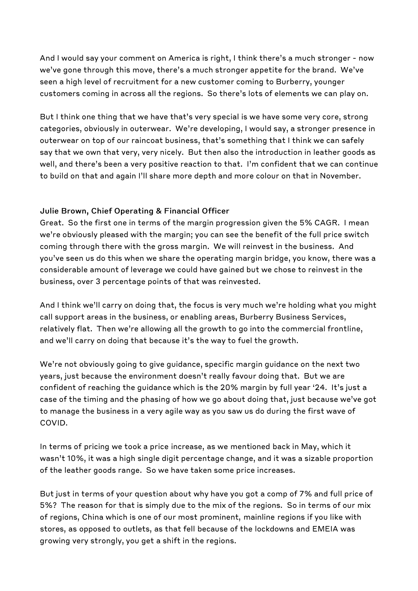And I would say your comment on America is right, I think there's a much stronger - now we've gone through this move, there's a much stronger appetite for the brand. We've seen a high level of recruitment for a new customer coming to Burberry, younger customers coming in across all the regions. So there's lots of elements we can play on.

But I think one thing that we have that's very special is we have some very core, strong categories, obviously in outerwear. We're developing, I would say, a stronger presence in outerwear on top of our raincoat business, that's something that I think we can safely say that we own that very, very nicely. But then also the introduction in leather goods as well, and there's been a very positive reaction to that. I'm confident that we can continue to build on that and again I'll share more depth and more colour on that in November.

#### **Julie Brown, Chief Operating & Financial Officer**

Great. So the first one in terms of the margin progression given the 5% CAGR. I mean we're obviously pleased with the margin; you can see the benefit of the full price switch coming through there with the gross margin. We will reinvest in the business. And you've seen us do this when we share the operating margin bridge, you know, there was a considerable amount of leverage we could have gained but we chose to reinvest in the business, over 3 percentage points of that was reinvested.

And I think we'll carry on doing that, the focus is very much we're holding what you might call support areas in the business, or enabling areas, Burberry Business Services, relatively flat. Then we're allowing all the growth to go into the commercial frontline, and we'll carry on doing that because it's the way to fuel the growth.

We're not obviously going to give guidance, specific margin guidance on the next two years, just because the environment doesn't really favour doing that. But we are confident of reaching the guidance which is the 20% margin by full year '24. It's just a case of the timing and the phasing of how we go about doing that, just because we've got to manage the business in a very agile way as you saw us do during the first wave of COVID.

In terms of pricing we took a price increase, as we mentioned back in May, which it wasn't 10%, it was a high single digit percentage change, and it was a sizable proportion of the leather goods range. So we have taken some price increases.

But just in terms of your question about why have you got a comp of 7% and full price of 5%? The reason for that is simply due to the mix of the regions. So in terms of our mix of regions, China which is one of our most prominent, mainline regions if you like with stores, as opposed to outlets, as that fell because of the lockdowns and EMEIA was growing very strongly, you get a shift in the regions.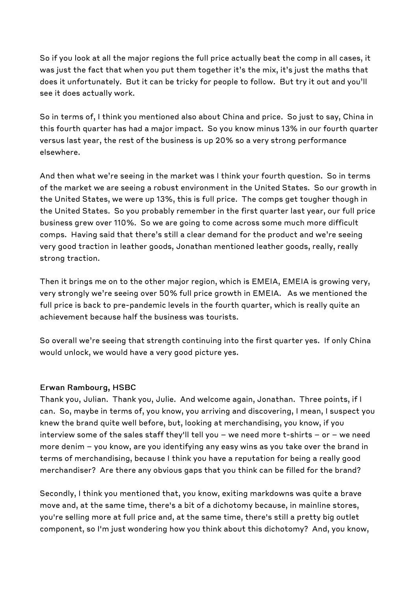So if you look at all the major regions the full price actually beat the comp in all cases, it was just the fact that when you put them together it's the mix, it's just the maths that does it unfortunately. But it can be tricky for people to follow. But try it out and you'll see it does actually work.

So in terms of, I think you mentioned also about China and price. So just to say, China in this fourth quarter has had a major impact. So you know minus 13% in our fourth quarter versus last year, the rest of the business is up 20% so a very strong performance elsewhere.

And then what we're seeing in the market was I think your fourth question. So in terms of the market we are seeing a robust environment in the United States. So our growth in the United States, we were up 13%, this is full price. The comps get tougher though in the United States. So you probably remember in the first quarter last year, our full price business grew over 110%. So we are going to come across some much more difficult comps. Having said that there's still a clear demand for the product and we're seeing very good traction in leather goods, Jonathan mentioned leather goods, really, really strong traction.

Then it brings me on to the other major region, which is EMEIA, EMEIA is growing very, very strongly we're seeing over 50% full price growth in EMEIA. As we mentioned the full price is back to pre-pandemic levels in the fourth quarter, which is really quite an achievement because half the business was tourists.

So overall we're seeing that strength continuing into the first quarter yes. If only China would unlock, we would have a very good picture yes.

#### **Erwan Rambourg, HSBC**

Thank you, Julian. Thank you, Julie. And welcome again, Jonathan. Three points, if I can. So, maybe in terms of, you know, you arriving and discovering, I mean, I suspect you knew the brand quite well before, but, looking at merchandising, you know, if you interview some of the sales staff they'll tell you - we need more t-shirts - or - we need more denim - you know, are you identifying any easy wins as you take over the brand in terms of merchandising, because I think you have a reputation for being a really good merchandiser? Are there any obvious gaps that you think can be filled for the brand?

Secondly, I think you mentioned that, you know, exiting markdowns was quite a brave move and, at the same time, there's a bit of a dichotomy because, in mainline stores, you're selling more at full price and, at the same time, there's still a pretty big outlet component, so I'm just wondering how you think about this dichotomy? And, you know,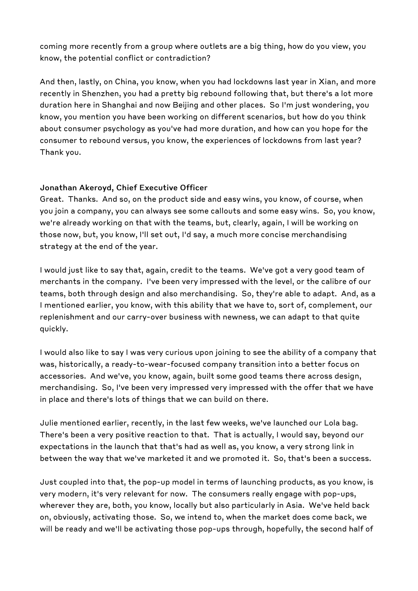coming more recently from a group where outlets are a big thing, how do you view, you know, the potential conflict or contradiction?

And then, lastly, on China, you know, when you had lockdowns last year in Xian, and more recently in Shenzhen, you had a pretty big rebound following that, but there's a lot more duration here in Shanghai and now Beijing and other places. So I'm just wondering, you know, you mention you have been working on different scenarios, but how do you think about consumer psychology as you've had more duration, and how can you hope for the consumer to rebound versus, you know, the experiences of lockdowns from last year? Thank you.

#### **Jonathan Akeroyd, Chief Executive Officer**

Great. Thanks. And so, on the product side and easy wins, you know, of course, when you join a company, you can always see some callouts and some easy wins. So, you know, we're already working on that with the teams, but, clearly, again, I will be working on those now, but, you know, I'll set out, I'd say, a much more concise merchandising strategy at the end of the year.

I would just like to say that, again, credit to the teams. We've got a very good team of merchants in the company. I've been very impressed with the level, or the calibre of our teams, both through design and also merchandising. So, they're able to adapt. And, as a I mentioned earlier, you know, with this ability that we have to, sort of, complement, our replenishment and our carry-over business with newness, we can adapt to that quite quickly.

I would also like to say I was very curious upon joining to see the ability of a company that was, historically, a ready-to-wear-focused company transition into a better focus on accessories. And we've, you know, again, built some good teams there across design, merchandising. So, I've been very impressed very impressed with the offer that we have in place and there's lots of things that we can build on there.

Julie mentioned earlier, recently, in the last few weeks, we've launched our Lola bag. There's been a very positive reaction to that. That is actually, I would say, beyond our expectations in the launch that that's had as well as, you know, a very strong link in between the way that we've marketed it and we promoted it. So, that's been a success.

Just coupled into that, the pop-up model in terms of launching products, as you know, is very modern, it's very relevant for now. The consumers really engage with pop-ups, wherever they are, both, you know, locally but also particularly in Asia. We've held back on, obviously, activating those. So, we intend to, when the market does come back, we will be ready and we'll be activating those pop-ups through, hopefully, the second half of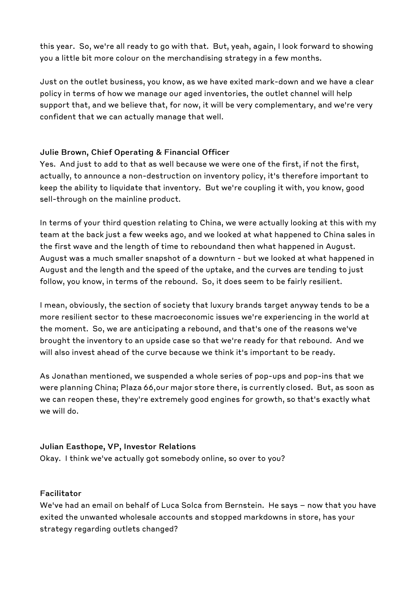this year. So, we're all ready to go with that. But, yeah, again, I look forward to showing you a little bit more colour on the merchandising strategy in a few months.

Just on the outlet business, you know, as we have exited mark-down and we have a clear policy in terms of how we manage our aged inventories, the outlet channel will help support that, and we believe that, for now, it will be very complementary, and we're very confident that we can actually manage that well.

#### **Julie Brown, Chief Operating & Financial Officer**

Yes. And just to add to that as well because we were one of the first, if not the first, actually, to announce a non-destruction on inventory policy, it's therefore important to keep the ability to liquidate that inventory. But we're coupling it with, you know, good sell-through on the mainline product.

In terms of your third question relating to China, we were actually looking at this with my team at the back just a few weeks ago, and we looked at what happened to China sales in the first wave and the length of time to reboundand then what happened in August. August was a much smaller snapshot of a downturn - but we looked at what happened in August and the length and the speed of the uptake, and the curves are tending to just follow, you know, in terms of the rebound. So, it does seem to be fairly resilient.

I mean, obviously, the section of society that luxury brands target anyway tends to be a more resilient sector to these macroeconomic issues we're experiencing in the world at the moment. So, we are anticipating a rebound, and that's one of the reasons we've brought the inventory to an upside case so that we're ready for that rebound. And we will also invest ahead of the curve because we think it's important to be ready.

As Jonathan mentioned, we suspended a whole series of pop-ups and pop-ins that we were planning China; Plaza 66,our major store there, is currently closed. But, as soon as we can reopen these, they're extremely good engines for growth, so that's exactly what we will do.

#### **Julian Easthope, VP, Investor Relations**

Okay. I think we've actually got somebody online, so over to you?

#### **Facilitator**

We've had an email on behalf of Luca Solca from Bernstein. He says - now that you have exited the unwanted wholesale accounts and stopped markdowns in store, has your strategy regarding outlets changed?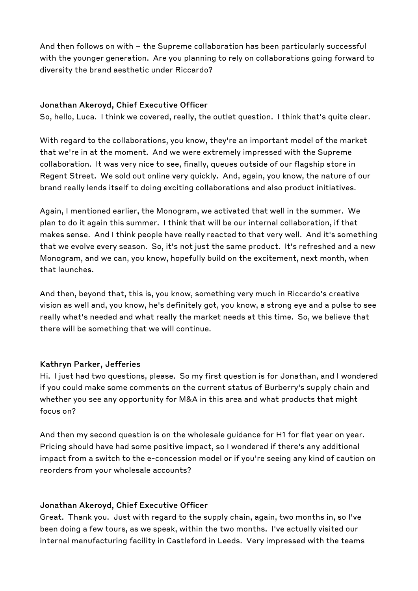And then follows on with - the Supreme collaboration has been particularly successful with the younger generation. Are you planning to rely on collaborations going forward to diversity the brand aesthetic under Riccardo?

#### **Jonathan Akeroyd, Chief Executive Officer**

So, hello, Luca. I think we covered, really, the outlet question. I think that's quite clear.

With regard to the collaborations, you know, they're an important model of the market that we're in at the moment. And we were extremely impressed with the Supreme collaboration. It was very nice to see, finally, queues outside of our flagship store in Regent Street. We sold out online very quickly. And, again, you know, the nature of our brand really lends itself to doing exciting collaborations and also product initiatives.

Again, I mentioned earlier, the Monogram, we activated that well in the summer. We plan to do it again this summer. I think that will be our internal collaboration, if that makes sense. And I think people have really reacted to that very well. And it's something that we evolve every season. So, it's not just the same product. It's refreshed and a new Monogram, and we can, you know, hopefully build on the excitement, next month, when that launches.

And then, beyond that, this is, you know, something very much in Riccardo's creative vision as well and, you know, he's definitely got, you know, a strong eye and a pulse to see really what's needed and what really the market needs at this time. So, we believe that there will be something that we will continue.

#### **Kathryn Parker, Jefferies**

Hi. I just had two questions, please. So my first question is for Jonathan, and I wondered if you could make some comments on the current status of Burberry's supply chain and whether you see any opportunity for M&A in this area and what products that might focus on?

And then my second question is on the wholesale guidance for H1 for flat year on year. Pricing should have had some positive impact, so I wondered if there's any additional impact from a switch to the e-concession model or if you're seeing any kind of caution on reorders from your wholesale accounts?

#### **Jonathan Akeroyd, Chief Executive Officer**

Great. Thank you. Just with regard to the supply chain, again, two months in, so I've been doing a few tours, as we speak, within the two months. I've actually visited our internal manufacturing facility in Castleford in Leeds. Very impressed with the teams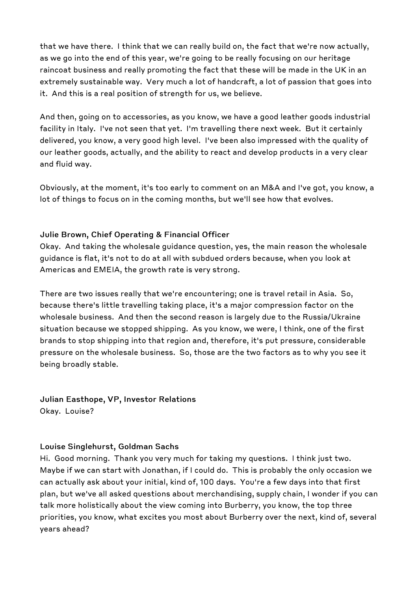that we have there. I think that we can really build on, the fact that we're now actually, as we go into the end of this year, we're going to be really focusing on our heritage raincoat business and really promoting the fact that these will be made in the UK in an extremely sustainable way. Very much a lot of handcraft, a lot of passion that goes into it. And this is a real position of strength for us, we believe.

And then, going on to accessories, as you know, we have a good leather goods industrial facility in Italy. I've not seen that yet. I'm travelling there next week. But it certainly delivered, you know, a very good high level. I've been also impressed with the quality of our leather goods, actually, and the ability to react and develop products in a very clear and fluid way.

Obviously, at the moment, it's too early to comment on an M&A and I've got, you know, a lot of things to focus on in the coming months, but we'll see how that evolves.

#### **Julie Brown, Chief Operating & Financial Officer**

Okay. And taking the wholesale guidance question, yes, the main reason the wholesale guidance is flat, it's not to do at all with subdued orders because, when you look at Americas and EMEIA, the growth rate is very strong.

There are two issues really that we're encountering; one is travel retail in Asia. So, because there's little travelling taking place, it's a major compression factor on the wholesale business. And then the second reason is largely due to the Russia/Ukraine situation because we stopped shipping. As you know, we were, I think, one of the first brands to stop shipping into that region and, therefore, it's put pressure, considerable pressure on the wholesale business. So, those are the two factors as to why you see it being broadly stable.

**Julian Easthope, VP, Investor Relations**  Okay. Louise?

#### **Louise Singlehurst, Goldman Sachs**

Hi. Good morning. Thank you very much for taking my questions. I think just two. Maybe if we can start with Jonathan, if I could do. This is probably the only occasion we can actually ask about your initial, kind of, 100 days. You're a few days into that first plan, but we've all asked questions about merchandising, supply chain, I wonder if you can talk more holistically about the view coming into Burberry, you know, the top three priorities, you know, what excites you most about Burberry over the next, kind of, several years ahead?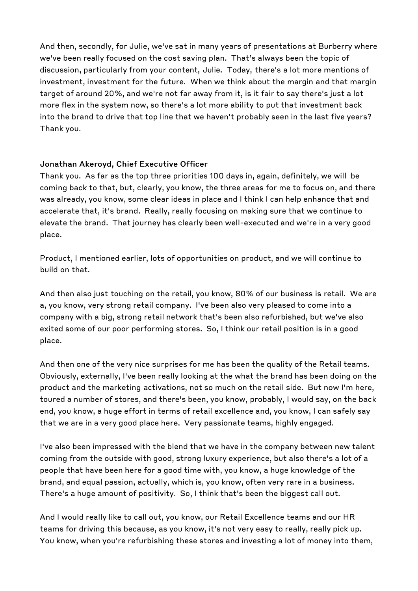And then, secondly, for Julie, we've sat in many years of presentations at Burberry where we've been really focused on the cost saving plan. That's always been the topic of discussion, particularly from your content, Julie. Today, there's a lot more mentions of investment, investment for the future. When we think about the margin and that margin target of around 20%, and we're not far away from it, is it fair to say there's just a lot more flex in the system now, so there's a lot more ability to put that investment back into the brand to drive that top line that we haven't probably seen in the last five years? Thank you.

#### **Jonathan Akeroyd, Chief Executive Officer**

Thank you. As far as the top three priorities 100 days in, again, definitely, we will be coming back to that, but, clearly, you know, the three areas for me to focus on, and there was already, you know, some clear ideas in place and I think I can help enhance that and accelerate that, it's brand. Really, really focusing on making sure that we continue to elevate the brand. That journey has clearly been well-executed and we're in a very good place.

Product, I mentioned earlier, lots of opportunities on product, and we will continue to build on that.

And then also just touching on the retail, you know, 80% of our business is retail. We are a, you know, very strong retail company. I've been also very pleased to come into a company with a big, strong retail network that's been also refurbished, but we've also exited some of our poor performing stores. So, I think our retail position is in a good place.

And then one of the very nice surprises for me has been the quality of the Retail teams. Obviously, externally, I've been really looking at the what the brand has been doing on the product and the marketing activations, not so much on the retail side. But now I'm here, toured a number of stores, and there's been, you know, probably, I would say, on the back end, you know, a huge effort in terms of retail excellence and, you know, I can safely say that we are in a very good place here. Very passionate teams, highly engaged.

I've also been impressed with the blend that we have in the company between new talent coming from the outside with good, strong luxury experience, but also there's a lot of a people that have been here for a good time with, you know, a huge knowledge of the brand, and equal passion, actually, which is, you know, often very rare in a business. There's a huge amount of positivity. So, I think that's been the biggest call out.

And I would really like to call out, you know, our Retail Excellence teams and our HR teams for driving this because, as you know, it's not very easy to really, really pick up. You know, when you're refurbishing these stores and investing a lot of money into them,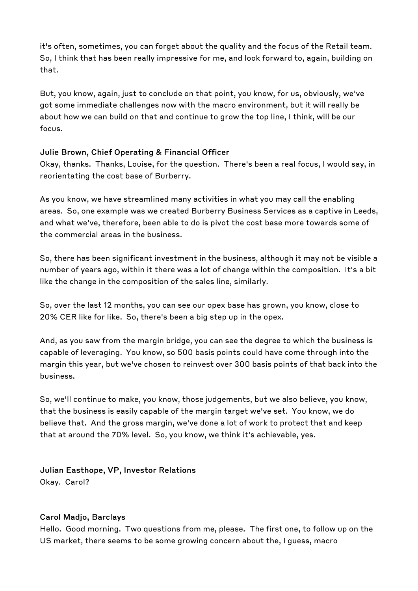it's often, sometimes, you can forget about the quality and the focus of the Retail team. So, I think that has been really impressive for me, and look forward to, again, building on that.

But, you know, again, just to conclude on that point, you know, for us, obviously, we've got some immediate challenges now with the macro environment, but it will really be about how we can build on that and continue to grow the top line, I think, will be our focus.

#### **Julie Brown, Chief Operating & Financial Officer**

Okay, thanks. Thanks, Louise, for the question. There's been a real focus, I would say, in reorientating the cost base of Burberry.

As you know, we have streamlined many activities in what you may call the enabling areas. So, one example was we created Burberry Business Services as a captive in Leeds, and what we've, therefore, been able to do is pivot the cost base more towards some of the commercial areas in the business.

So, there has been significant investment in the business, although it may not be visible a number of years ago, within it there was a lot of change within the composition. It's a bit like the change in the composition of the sales line, similarly.

So, over the last 12 months, you can see our opex base has grown, you know, close to 20% CER like for like. So, there's been a big step up in the opex.

And, as you saw from the margin bridge, you can see the degree to which the business is capable of leveraging. You know, so 500 basis points could have come through into the margin this year, but we've chosen to reinvest over 300 basis points of that back into the business.

So, we'll continue to make, you know, those judgements, but we also believe, you know, that the business is easily capable of the margin target we've set. You know, we do believe that. And the gross margin, we've done a lot of work to protect that and keep that at around the 70% level. So, you know, we think it's achievable, yes.

**Julian Easthope, VP, Investor Relations**  Okay. Carol?

#### **Carol Madjo, Barclays**

Hello. Good morning. Two questions from me, please. The first one, to follow up on the US market, there seems to be some growing concern about the, I guess, macro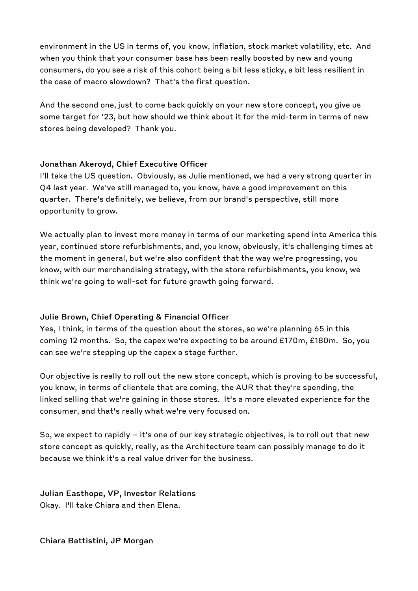environment in the US in terms of, you know, inflation, stock market volatility, etc. And when you think that your consumer base has been really boosted by new and young consumers, do you see a risk of this cohort being a bit less sticky, a bit less resilient in the case of macro slowdown? That's the first question.

And the second one, just to come back quickly on your new store concept, you give us some target for '23, but how should we think about it for the mid-term in terms of new stores being developed? Thank you.

#### **Jonathan Akeroyd, Chief Executive Officer**

I'll take the US question. Obviously, as Julie mentioned, we had a very strong quarter in Q4 last year. We've still managed to, you know, have a good improvement on this quarter. There's definitely, we believe, from our brand's perspective, still more opportunity to grow.

We actually plan to invest more money in terms of our marketing spend into America this year, continued store refurbishments, and, you know, obviously, it's challenging times at the moment in general, but we're also confident that the way we're progressing, you know, with our merchandising strategy, with the store refurbishments, you know, we think we're going to well-set for future growth going forward.

#### **Julie Brown, Chief Operating & Financial Officer**

Yes, I think, in terms of the question about the stores, so we're planning 65 in this coming 12 months. So, the capex we're expecting to be around £170m, £180m. So, you can see we're stepping up the capex a stage further.

Our objective is really to roll out the new store concept, which is proving to be successful, you know, in terms of clientele that are coming, the AUR that they're spending, the linked selling that we're gaining in those stores. It's a more elevated experience for the consumer, and that's really what we're very focused on.

So, we expect to rapidly - it's one of our key strategic objectives, is to roll out that new store concept as quickly, really, as the Architecture team can possibly manage to do it because we think it's a real value driver for the business.

### **Julian Easthope, VP, Investor Relations**

Okay. I'll take Chiara and then Elena.

#### **Chiara Battistini, JP Morgan**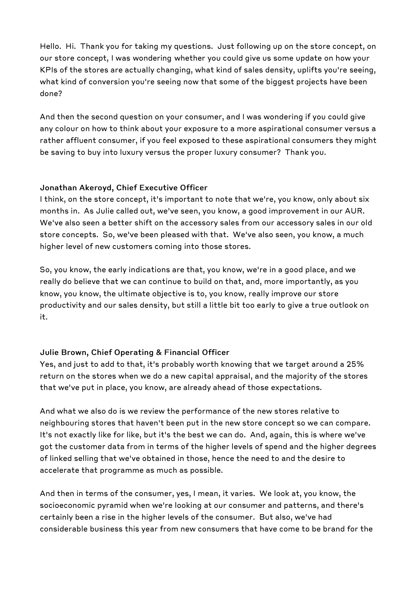Hello. Hi. Thank you for taking my questions. Just following up on the store concept, on our store concept, I was wondering whether you could give us some update on how your KPIs of the stores are actually changing, what kind of sales density, uplifts you're seeing, what kind of conversion you're seeing now that some of the biggest projects have been done?

And then the second question on your consumer, and I was wondering if you could give any colour on how to think about your exposure to a more aspirational consumer versus a rather affluent consumer, if you feel exposed to these aspirational consumers they might be saving to buy into luxury versus the proper luxury consumer? Thank you.

#### **Jonathan Akeroyd, Chief Executive Officer**

I think, on the store concept, it's important to note that we're, you know, only about six months in. As Julie called out, we've seen, you know, a good improvement in our AUR. We've also seen a better shift on the accessory sales from our accessory sales in our old store concepts. So, we've been pleased with that. We've also seen, you know, a much higher level of new customers coming into those stores.

So, you know, the early indications are that, you know, we're in a good place, and we really do believe that we can continue to build on that, and, more importantly, as you know, you know, the ultimate objective is to, you know, really improve our store productivity and our sales density, but still a little bit too early to give a true outlook on it.

#### **Julie Brown, Chief Operating & Financial Officer**

Yes, and just to add to that, it's probably worth knowing that we target around a 25% return on the stores when we do a new capital appraisal, and the majority of the stores that we've put in place, you know, are already ahead of those expectations.

And what we also do is we review the performance of the new stores relative to neighbouring stores that haven't been put in the new store concept so we can compare. It's not exactly like for like, but it's the best we can do. And, again, this is where we've got the customer data from in terms of the higher levels of spend and the higher degrees of linked selling that we've obtained in those, hence the need to and the desire to accelerate that programme as much as possible.

And then in terms of the consumer, yes, I mean, it varies. We look at, you know, the socioeconomic pyramid when we're looking at our consumer and patterns, and there's certainly been a rise in the higher levels of the consumer. But also, we've had considerable business this year from new consumers that have come to be brand for the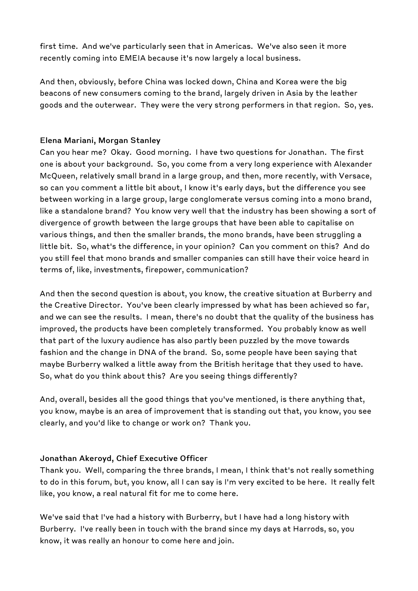first time. And we've particularly seen that in Americas. We've also seen it more recently coming into EMEIA because it's now largely a local business.

And then, obviously, before China was locked down, China and Korea were the big beacons of new consumers coming to the brand, largely driven in Asia by the leather goods and the outerwear. They were the very strong performers in that region. So, yes.

#### **Elena Mariani, Morgan Stanley**

Can you hear me? Okay. Good morning. I have two questions for Jonathan. The first one is about your background. So, you come from a very long experience with Alexander McQueen, relatively small brand in a large group, and then, more recently, with Versace, so can you comment a little bit about, I know it's early days, but the difference you see between working in a large group, large conglomerate versus coming into a mono brand, like a standalone brand? You know very well that the industry has been showing a sort of divergence of growth between the large groups that have been able to capitalise on various things, and then the smaller brands, the mono brands, have been struggling a little bit. So, what's the difference, in your opinion? Can you comment on this? And do you still feel that mono brands and smaller companies can still have their voice heard in terms of, like, investments, firepower, communication?

And then the second question is about, you know, the creative situation at Burberry and the Creative Director. You've been clearly impressed by what has been achieved so far, and we can see the results. I mean, there's no doubt that the quality of the business has improved, the products have been completely transformed. You probably know as well that part of the luxury audience has also partly been puzzled by the move towards fashion and the change in DNA of the brand. So, some people have been saying that maybe Burberry walked a little away from the British heritage that they used to have. So, what do you think about this? Are you seeing things differently?

And, overall, besides all the good things that you've mentioned, is there anything that, you know, maybe is an area of improvement that is standing out that, you know, you see clearly, and you'd like to change or work on? Thank you.

#### **Jonathan Akeroyd, Chief Executive Officer**

Thank you. Well, comparing the three brands, I mean, I think that's not really something to do in this forum, but, you know, all I can say is I'm very excited to be here. It really felt like, you know, a real natural fit for me to come here.

We've said that I've had a history with Burberry, but I have had a long history with Burberry. I've really been in touch with the brand since my days at Harrods, so, you know, it was really an honour to come here and join.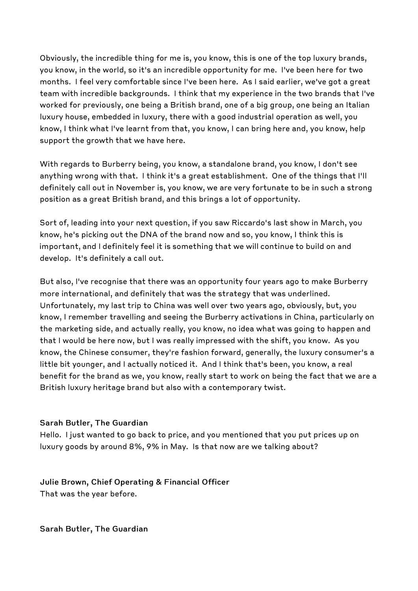Obviously, the incredible thing for me is, you know, this is one of the top luxury brands, you know, in the world, so it's an incredible opportunity for me. I've been here for two months. I feel very comfortable since I've been here. As I said earlier, we've got a great team with incredible backgrounds. I think that my experience in the two brands that I've worked for previously, one being a British brand, one of a big group, one being an Italian luxury house, embedded in luxury, there with a good industrial operation as well, you know, I think what I've learnt from that, you know, I can bring here and, you know, help support the growth that we have here.

With regards to Burberry being, you know, a standalone brand, you know, I don't see anything wrong with that. I think it's a great establishment. One of the things that I'll definitely call out in November is, you know, we are very fortunate to be in such a strong position as a great British brand, and this brings a lot of opportunity.

Sort of, leading into your next question, if you saw Riccardo's last show in March, you know, he's picking out the DNA of the brand now and so, you know, I think this is important, and I definitely feel it is something that we will continue to build on and develop. It's definitely a call out.

But also, I've recognise that there was an opportunity four years ago to make Burberry more international, and definitely that was the strategy that was underlined. Unfortunately, my last trip to China was well over two years ago, obviously, but, you know, I remember travelling and seeing the Burberry activations in China, particularly on the marketing side, and actually really, you know, no idea what was going to happen and that I would be here now, but I was really impressed with the shift, you know. As you know, the Chinese consumer, they're fashion forward, generally, the luxury consumer's a little bit younger, and I actually noticed it. And I think that's been, you know, a real benefit for the brand as we, you know, really start to work on being the fact that we are a British luxury heritage brand but also with a contemporary twist.

#### **Sarah Butler, The Guardian**

Hello. I just wanted to go back to price, and you mentioned that you put prices up on luxury goods by around 8%, 9% in May. Is that now are we talking about?

**Julie Brown, Chief Operating & Financial Officer**  That was the year before.

**Sarah Butler, The Guardian**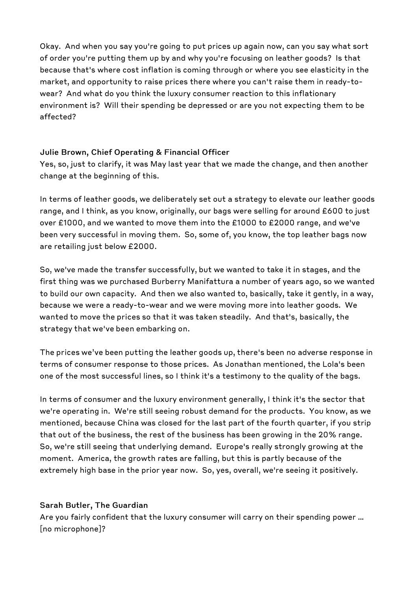Okay. And when you say you're going to put prices up again now, can you say what sort of order you're putting them up by and why you're focusing on leather goods? Is that because that's where cost inflation is coming through or where you see elasticity in the market, and opportunity to raise prices there where you can't raise them in ready-towear? And what do you think the luxury consumer reaction to this inflationary environment is? Will their spending be depressed or are you not expecting them to be affected?

#### **Julie Brown, Chief Operating & Financial Officer**

Yes, so, just to clarify, it was May last year that we made the change, and then another change at the beginning of this.

In terms of leather goods, we deliberately set out a strategy to elevate our leather goods range, and I think, as you know, originally, our bags were selling for around £600 to just over £1000, and we wanted to move them into the £1000 to £2000 range, and we've been very successful in moving them. So, some of, you know, the top leather bags now are retailing just below £2000.

So, we've made the transfer successfully, but we wanted to take it in stages, and the first thing was we purchased Burberry Manifattura a number of years ago, so we wanted to build our own capacity. And then we also wanted to, basically, take it gently, in a way, because we were a ready-to-wear and we were moving more into leather goods. We wanted to move the prices so that it was taken steadily. And that's, basically, the strategy that we've been embarking on.

The prices we've been putting the leather goods up, there's been no adverse response in terms of consumer response to those prices. As Jonathan mentioned, the Lola's been one of the most successful lines, so I think it's a testimony to the quality of the bags.

In terms of consumer and the luxury environment generally, I think it's the sector that we're operating in. We're still seeing robust demand for the products. You know, as we mentioned, because China was closed for the last part of the fourth quarter, if you strip that out of the business, the rest of the business has been growing in the 20% range. So, we're still seeing that underlying demand. Europe's really strongly growing at the moment. America, the growth rates are falling, but this is partly because of the extremely high base in the prior year now. So, yes, overall, we're seeing it positively.

#### **Sarah Butler, The Guardian**

Are you fairly confident that the luxury consumer will carry on their spending power ... [no microphone]?